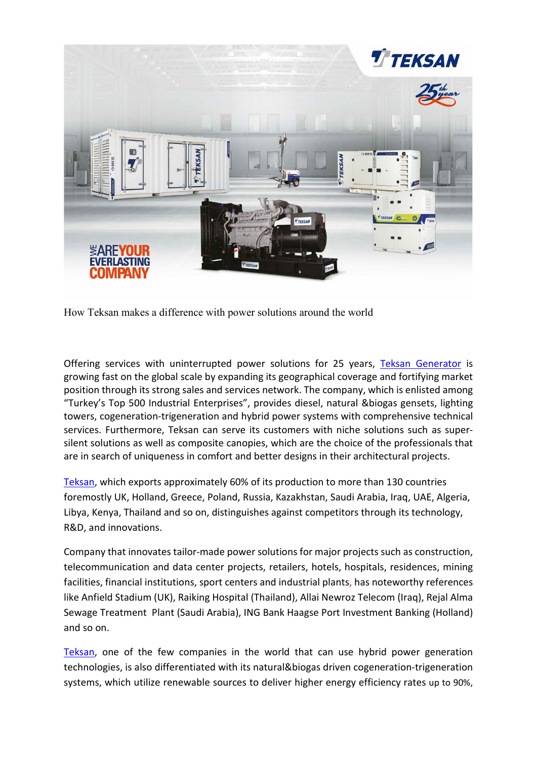

How Teksan makes a difference with power solutions around the world

Offering services with uninterrupted power solutions for 25 years, [Teksan Generator](http://www.teksan.com/) is growing fast on the global scale by expanding its geographical coverage and fortifying market position through its strong sales and services network. The company, which is enlisted among "Turkey's Top 500 Industrial Enterprises", provides diesel, natural &biogas gensets, lighting towers, cogeneration-trigeneration and hybrid power systems with comprehensive technical services. Furthermore, Teksan can serve its customers with niche solutions such as supersilent solutions as well as composite canopies, which are the choice of the professionals that are in search of uniqueness in comfort and better designs in their architectural projects.

[Teksan,](http://www.teksan.com/) which exports approximately 60% of its production to more than 130 countries foremostly UK, Holland, Greece, Poland, Russia, Kazakhstan, Saudi Arabia, Iraq, UAE, Algeria, Libya, Kenya, Thailand and so on, distinguishes against competitors through its technology, R&D, and innovations.

Company that innovates tailor-made power solutions for major projects such as construction, telecommunication and data center projects, retailers, hotels, hospitals, residences, mining facilities, financial institutions, sport centers and industrial plants, has noteworthy references like Anfield Stadium (UK), Raiking Hospital (Thailand), Allai Newroz Telecom (Iraq), Rejal Alma Sewage Treatment Plant (Saudi Arabia), ING Bank Haagse Port Investment Banking (Holland) and so on.

[Teksan,](http://www.teksan.com/) one of the few companies in the world that can use hybrid power generation technologies, is also differentiated with its natural&biogas driven cogeneration-trigeneration systems, which utilize renewable sources to deliver higher energy efficiency rates up to 90%,